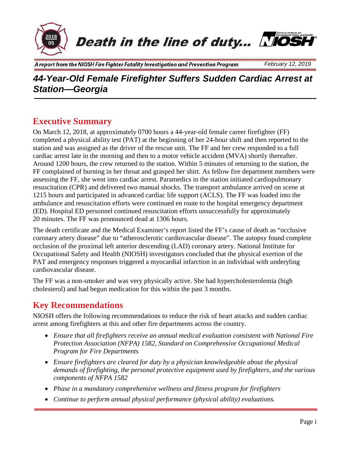

Death in the line of duty... NIOSH



# *44-Year-Old Female Firefighter Suffers Sudden Cardiac Arrest at Station—Georgia*

### **Executive Summary**

On March 12, 2018, at approximately 0700 hours a 44-year-old female career firefighter (FF) completed a physical ability test (PAT) at the beginning of her 24-hour shift and then reported to the station and was assigned as the driver of the rescue unit. The FF and her crew responded to a full cardiac arrest late in the morning and then to a motor vehicle accident (MVA) shortly thereafter. Around 1200 hours, the crew returned to the station. Within 5 minutes of returning to the station, the FF complained of burning in her throat and grasped her shirt. As fellow fire department members were assessing the FF, she went into cardiac arrest. Paramedics in the station initiated cardiopulmonary resuscitation (CPR) and delivered two manual shocks. The transport ambulance arrived on scene at 1215 hours and participated in advanced cardiac life support (ACLS). The FF was loaded into the ambulance and resuscitation efforts were continued en route to the hospital emergency department (ED). Hospital ED personnel continued resuscitation efforts unsuccessfully for approximately 20 minutes. The FF was pronounced dead at 1306 hours.

The death certificate and the Medical Examiner's report listed the FF's cause of death as "occlusive coronary artery disease" due to "atherosclerotic cardiovascular disease". The autopsy found complete occlusion of the proximal left anterior descending (LAD) coronary artery. National Institute for Occupational Safety and Health (NIOSH) investigators concluded that the physical exertion of the PAT and emergency responses triggered a myocardial infarction in an individual with underyling cardiovascular disease.

The FF was a non-smoker and was very physically active. She had hypercholesterolemia (high cholesterol) and had begun medication for this within the past 3 months.

### **Key Recommendations**

NIOSH offers the following recommendations to reduce the risk of heart attacks and sudden cardiac arrest among firefighters at this and other fire departments across the country.

- *Ensure that all firefighters receive an annual medical evaluation consistent with National Fire Protection Association (NFPA) 1582, Standard on Comprehensive Occupational Medical Program for Fire Departments*
- *Ensure firefighters are cleared for duty by a physician knowledgeable about the physical demands of firefighting, the personal protective equipment used by firefighters, and the various components of NFPA 1582*
- *Phase in a mandatory comprehensive wellness and fitness program for firefighters*
- *Continue to perform annual physical performance (physical ability) evaluations.*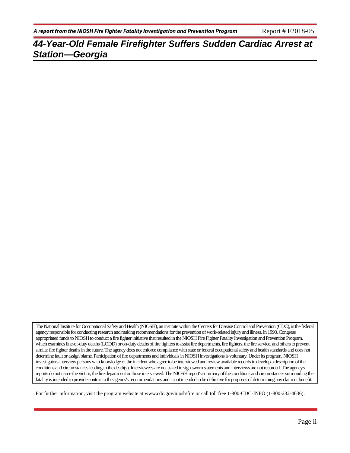The National Institute for Occupational Safety and Health (NIOSH), an institute within the Centers for Disease Control and Prevention (CDC), is the federal agency responsible for conducting research and making recommendations for the prevention of work-related injury and illness. In 1998, Congress appropriated funds to NIOSH to conduct a fire fighter initiative that resulted in the NIOSH Fire Fighter Fatality Investigation and Prevention Program, which examines line-of-duty deaths (LODD) or on-duty deaths of fire fighters to assist fire departments, fire fighters, the fire service, and others to prevent similar fire fighter deaths in the future. The agency does not enforce compliance with state or federal occupational safety and health standards and does not determine fault or assign blame. Participation of fire departments and individuals in NIOSH investigations is voluntary. Under its program, NIOSH investigators interview persons with knowledge of the incident who agree to be interviewed and review available records to develop a description of the conditions and circumstances leading to the death(s). Interviewees are not asked to sign sworn statements and interviews are not recorded. The agency's reports do not name the victim, the fire department or those interviewed. The NIOSH report's summary of the conditions and circumstances surrounding the fatality is intended to provide context to the agency's recommendations and is not intended to be definitive for purposes of determining any claim or benefit.

For further information, visit the program website at www.cdc.gov/niosh/fire or call toll free 1-800-CDC-INFO (1-800-232-4636).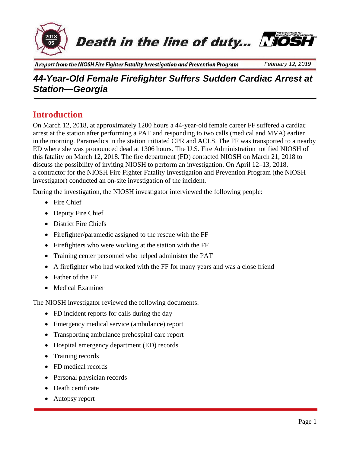

**Death in the line of duty... NOSH** 



A report from the NIOSH Fire Fighter Fatality Investigation and Prevention Program

# *44-Year-Old Female Firefighter Suffers Sudden Cardiac Arrest at Station—Georgia*

### **Introduction**

On March 12, 2018, at approximately 1200 hours a 44-year-old female career FF suffered a cardiac arrest at the station after performing a PAT and responding to two calls (medical and MVA) earlier in the morning. Paramedics in the station initiated CPR and ACLS. The FF was transported to a nearby ED where she was pronounced dead at 1306 hours. The U.S. Fire Administration notified NIOSH of this fatality on March 12, 2018. The fire department (FD) contacted NIOSH on March 21, 2018 to discuss the possibility of inviting NIOSH to perform an investigation. On April 12–13, 2018, a contractor for the NIOSH Fire Fighter Fatality Investigation and Prevention Program (the NIOSH investigator) conducted an on-site investigation of the incident.

During the investigation, the NIOSH investigator interviewed the following people:

- Fire Chief
- Deputy Fire Chief
- District Fire Chiefs
- Firefighter/paramedic assigned to the rescue with the FF
- Firefighters who were working at the station with the FF
- Training center personnel who helped administer the PAT
- A firefighter who had worked with the FF for many years and was a close friend
- Father of the FF
- Medical Examiner

The NIOSH investigator reviewed the following documents:

- FD incident reports for calls during the day
- Emergency medical service (ambulance) report
- Transporting ambulance prehospital care report
- Hospital emergency department (ED) records
- Training records
- FD medical records
- Personal physician records
- Death certificate
- Autopsy report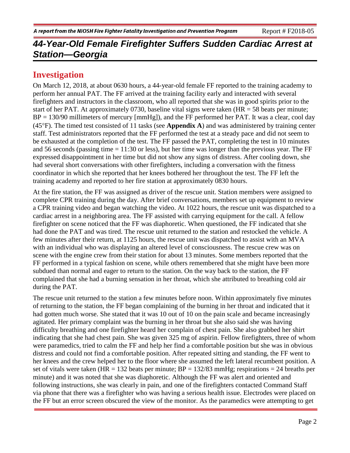### **Investigation**

On March 12, 2018, at about 0630 hours, a 44-year-old female FF reported to the training academy to perform her annual PAT. The FF arrived at the training facility early and interacted with several firefighters and instructors in the classroom, who all reported that she was in good spirits prior to the start of her PAT. At approximately 0730, baseline vital signs were taken  $(HR = 58$  beats per minute;  $BP = 130/90$  millimeters of mercury [mmHg]), and the FF performed her PAT. It was a clear, cool day (45°F). The timed test consisted of 11 tasks (see **Appendix A**) and was administered by training center staff. Test administrators reported that the FF performed the test at a steady pace and did not seem to be exhausted at the completion of the test. The FF passed the PAT, completing the test in 10 minutes and 56 seconds (passing time = 11:30 or less), but her time was longer than the previous year. The FF expressed disappointment in her time but did not show any signs of distress. After cooling down, she had several short conversations with other firefighters, including a conversation with the fitness coordinator in which she reported that her knees bothered her throughout the test. The FF left the training academy and reported to her fire station at approximately 0830 hours.

At the fire station, the FF was assigned as driver of the rescue unit. Station members were assigned to complete CPR training during the day. After brief conversations, members set up equipment to review a CPR training video and began watching the video. At 1022 hours, the rescue unit was dispatched to a cardiac arrest in a neighboring area. The FF assisted with carrying equipment for the call. A fellow firefighter on scene noticed that the FF was diaphoretic. When questioned, the FF indicated that she had done the PAT and was tired. The rescue unit returned to the station and restocked the vehicle. A few minutes after their return, at 1125 hours, the rescue unit was dispatched to assist with an MVA with an individual who was displaying an altered level of consciousness. The rescue crew was on scene with the engine crew from their station for about 13 minutes. Some members reported that the FF performed in a typical fashion on scene, while others remembered that she might have been more subdued than normal and eager to return to the station. On the way back to the station, the FF complained that she had a burning sensation in her throat, which she attributed to breathing cold air during the PAT.

The rescue unit returned to the station a few minutes before noon. Within approximately five minutes of returning to the station, the FF began complaining of the burning in her throat and indicated that it had gotten much worse. She stated that it was 10 out of 10 on the pain scale and became increasingly agitated. Her primary complaint was the burning in her throat but she also said she was having difficulty breathing and one firefighter heard her complain of chest pain. She also grabbed her shirt indicating that she had chest pain. She was given 325 mg of aspirin. Fellow firefighters, three of whom were paramedics, tried to calm the FF and help her find a comfortable position but she was in obvious distress and could not find a comfortable position. After repeated sitting and standing, the FF went to her knees and the crew helped her to the floor where she assumed the left lateral recumbent position. A set of vitals were taken (HR = 132 beats per minute;  $BP = 132/83$  mmHg; respirations = 24 breaths per minute) and it was noted that she was diaphoretic. Although the FF was alert and oriented and following instructions, she was clearly in pain, and one of the firefighters contacted Command Staff via phone that there was a firefighter who was having a serious health issue. Electrodes were placed on the FF but an error screen obscured the view of the monitor. As the paramedics were attempting to get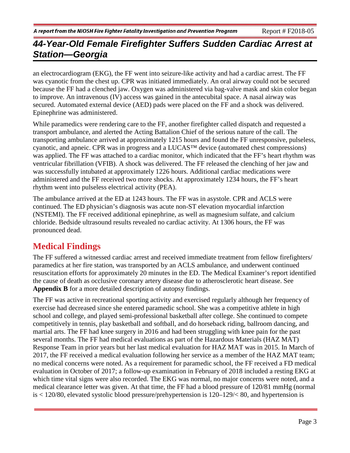an electrocardiogram (EKG), the FF went into seizure-like activity and had a cardiac arrest. The FF was cyanotic from the chest up. CPR was initiated immediately. An oral airway could not be secured because the FF had a clenched jaw. Oxygen was administered via bag-valve mask and skin color began to improve. An intravenous (IV) access was gained in the antecubital space. A nasal airway was secured. Automated external device (AED) pads were placed on the FF and a shock was delivered. Epinephrine was administered.

While paramedics were rendering care to the FF, another firefighter called dispatch and requested a transport ambulance, and alerted the Acting Battalion Chief of the serious nature of the call. The transporting ambulance arrived at approximately 1215 hours and found the FF unresponsive, pulseless, cyanotic, and apneic. CPR was in progress and a LUCAS™ device (automated chest compressions) was applied. The FF was attached to a cardiac monitor, which indicated that the FF's heart rhythm was ventricular fibrillation (VFIB). A shock was delivered. The FF released the clenching of her jaw and was successfully intubated at approximately 1226 hours. Additional cardiac medications were administered and the FF received two more shocks. At approximately 1234 hours, the FF's heart rhythm went into pulseless electrical activity (PEA).

The ambulance arrived at the ED at 1243 hours. The FF was in asystole. CPR and ACLS were continued. The ED physician's diagnosis was acute non-ST elevation myocardial infarction (NSTEMI). The FF received additional epinephrine, as well as magnesium sulfate, and calcium chloride. Bedside ultrasound results revealed no cardiac activity. At 1306 hours, the FF was pronounced dead.

## **Medical Findings**

The FF suffered a witnessed cardiac arrest and received immediate treatment from fellow firefighters/ paramedics at her fire station, was transported by an ACLS ambulance, and underwent continued resuscitation efforts for approximately 20 minutes in the ED. The Medical Examiner's report identified the cause of death as occlusive coronary artery disease due to atherosclerotic heart disease. See **Appendix B** for a more detailed description of autopsy findings.

The FF was active in recreational sporting activity and exercised regularly although her frequency of exercise had decreased since she entered paramedic school. She was a competitive athlete in high school and college, and played semi-professional basketball after college. She continued to compete competitively in tennis, play basketball and softball, and do horseback riding, ballroom dancing, and martial arts. The FF had knee surgery in 2016 and had been struggling with knee pain for the past several months. The FF had medical evaluations as part of the Hazardous Materials (HAZ MAT) Response Team in prior years but her last medical evaluation for HAZ MAT was in 2015. In March of 2017, the FF received a medical evaluation following her service as a member of the HAZ MAT team; no medical concerns were noted. As a requirement for paramedic school, the FF received a FD medical evaluation in October of 2017; a follow-up examination in February of 2018 included a resting EKG at which time vital signs were also recorded. The EKG was normal, no major concerns were noted, and a medical clearance letter was given. At that time, the FF had a blood pressure of 120/81 mmHg (normal is < 120/80, elevated systolic blood pressure/prehypertension is 120–129/< 80, and hypertension is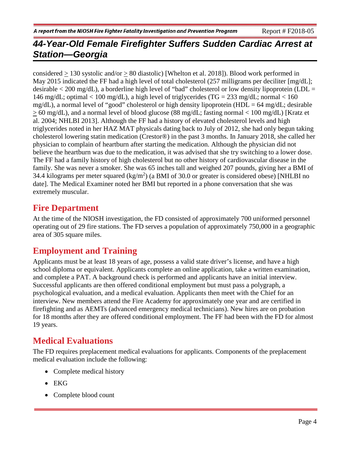considered > 130 systolic and/or > 80 diastolic) [Whelton et al. 2018]). Blood work performed in May 2015 indicated the FF had a high level of total cholesterol (257 milligrams per deciliter [mg/dL]; desirable  $\lt$  200 mg/dL), a borderline high level of "bad" cholesterol or low density lipoprotein (LDL = 146 mg/dL; optimal < 100 mg/dL), a high level of triglycerides (TG = 233 mg/dL; normal < 160 mg/dL), a normal level of "good" cholesterol or high density lipoprotein (HDL = 64 mg/dL; desirable > 60 mg/dL), and a normal level of blood glucose (88 mg/dL; fasting normal < 100 mg/dL) [Kratz et al. 2004; NHLBI 2013]. Although the FF had a history of elevated cholesterol levels and high triglycerides noted in her HAZ MAT physicals dating back to July of 2012, she had only begun taking cholesterol lowering statin medication (Crestor®) in the past 3 months. In January 2018, she called her physician to complain of heartburn after starting the medication. Although the physician did not believe the heartburn was due to the medication, it was advised that she try switching to a lower dose. The FF had a family history of high cholesterol but no other history of cardiovascular disease in the family. She was never a smoker. She was 65 inches tall and weighed 207 pounds, giving her a BMI of 34.4 kilograms per meter squared  $(kg/m<sup>2</sup>)$  (a BMI of 30.0 or greater is considered obese) [NHLBI no date]. The Medical Examiner noted her BMI but reported in a phone conversation that she was extremely muscular.

## **Fire Department**

At the time of the NIOSH investigation, the FD consisted of approximately 700 uniformed personnel operating out of 29 fire stations. The FD serves a population of approximately 750,000 in a geographic area of 305 square miles.

## **Employment and Training**

Applicants must be at least 18 years of age, possess a valid state driver's license, and have a high school diploma or equivalent. Applicants complete an online application, take a written examination, and complete a PAT. A background check is performed and applicants have an initial interview. Successful applicants are then offered conditional employment but must pass a polygraph, a psychological evaluation, and a medical evaluation. Applicants then meet with the Chief for an interview. New members attend the Fire Academy for approximately one year and are certified in firefighting and as AEMTs (advanced emergency medical technicians). New hires are on probation for 18 months after they are offered conditional employment. The FF had been with the FD for almost 19 years.

## **Medical Evaluations**

The FD requires preplacement medical evaluations for applicants. Components of the preplacement medical evaluation include the following:

- Complete medical history
- EKG
- Complete blood count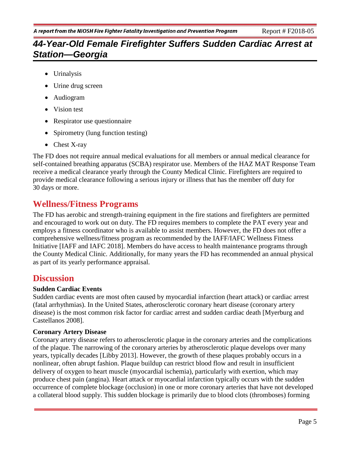- Urinalysis
- Urine drug screen
- Audiogram
- Vision test
- Respirator use questionnaire
- Spirometry (lung function testing)
- Chest X-ray

The FD does not require annual medical evaluations for all members or annual medical clearance for self-contained breathing apparatus (SCBA) respirator use. Members of the HAZ MAT Response Team receive a medical clearance yearly through the County Medical Clinic. Firefighters are required to provide medical clearance following a serious injury or illness that has the member off duty for 30 days or more.

## **Wellness/Fitness Programs**

The FD has aerobic and strength-training equipment in the fire stations and firefighters are permitted and encouraged to work out on duty. The FD requires members to complete the PAT every year and employs a fitness coordinator who is available to assist members. However, the FD does not offer a comprehensive wellness/fitness program as recommended by the IAFF/IAFC Wellness Fitness Initiative [IAFF and IAFC 2018]. Members do have access to health maintenance programs through the County Medical Clinic. Additionally, for many years the FD has recommended an annual physical as part of its yearly performance appraisal.

### **Discussion**

#### **Sudden Cardiac Events**

Sudden cardiac events are most often caused by myocardial infarction (heart attack) or cardiac arrest (fatal arrhythmias). In the United States, atherosclerotic coronary heart disease (coronary artery disease) is the most common risk factor for cardiac arrest and sudden cardiac death [Myerburg and Castellanos 2008].

#### **Coronary Artery Disease**

Coronary artery disease refers to atherosclerotic plaque in the coronary arteries and the complications of the plaque. The narrowing of the coronary arteries by atherosclerotic plaque develops over many years, typically decades [Libby 2013]. However, the growth of these plaques probably occurs in a nonlinear, often abrupt fashion. Plaque buildup can restrict blood flow and result in insufficient delivery of oxygen to heart muscle (myocardial ischemia), particularly with exertion, which may produce chest pain (angina). Heart attack or myocardial infarction typically occurs with the sudden occurrence of complete blockage (occlusion) in one or more coronary arteries that have not developed a collateral blood supply. This sudden blockage is primarily due to blood clots (thromboses) forming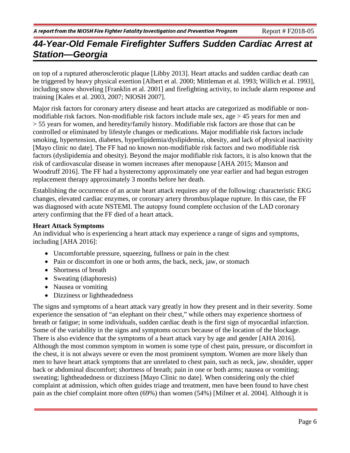on top of a ruptured atherosclerotic plaque [Libby 2013]. Heart attacks and sudden cardiac death can be triggered by heavy physical exertion [Albert et al. 2000; Mittleman et al. 1993; Willich et al. 1993], including snow shoveling [Franklin et al. 2001] and firefighting activity, to include alarm response and training [Kales et al. 2003, 2007; NIOSH 2007].

Major risk factors for coronary artery disease and heart attacks are categorized as modifiable or nonmodifiable risk factors. Non-modifiable risk factors include male sex, age > 45 years for men and > 55 years for women, and heredity/family history. Modifiable risk factors are those that can be controlled or eliminated by lifestyle changes or medications. Major modifiable risk factors include smoking, hypertension, diabetes, hyperlipidemia/dyslipidemia, obesity, and lack of physical inactivity [Mayo clinic no date]. The FF had no known non-modifiable risk factors and two modifiable risk factors (dyslipidemia and obesity). Beyond the major modifiable risk factors, it is also known that the risk of cardiovascular disease in women increases after menopause [AHA 2015; Manson and Woodruff 2016]. The FF had a hysterectomy approximately one year earlier and had begun estrogen replacement therapy approximately 3 months before her death.

Establishing the occurrence of an acute heart attack requires any of the following: characteristic EKG changes, elevated cardiac enzymes, or coronary artery thrombus/plaque rupture. In this case, the FF was diagnosed with acute NSTEMI. The autopsy found complete occlusion of the LAD coronary artery confirming that the FF died of a heart attack.

#### **Heart Attack Symptoms**

An individual who is experiencing a heart attack may experience a range of signs and symptoms, including [AHA 2016]:

- Uncomfortable pressure, squeezing, fullness or pain in the chest
- Pain or discomfort in one or both arms, the back, neck, jaw, or stomach
- Shortness of breath
- Sweating (diaphoresis)
- Nausea or vomiting
- Dizziness or lightheadedness

The signs and symptoms of a heart attack vary greatly in how they present and in their severity. Some experience the sensation of "an elephant on their chest," while others may experience shortness of breath or fatigue; in some individuals, sudden cardiac death is the first sign of myocardial infarction. Some of the variability in the signs and symptoms occurs because of the location of the blockage. There is also evidence that the symptoms of a heart attack vary by age and gender [AHA 2016]. Although the most common symptom in women is some type of chest pain, pressure, or discomfort in the chest, it is not always severe or even the most prominent symptom. Women are more likely than men to have heart attack symptoms that are unrelated to chest pain, such as neck, jaw, shoulder, upper back or abdominal discomfort; shortness of breath; pain in one or both arms; nausea or vomiting; sweating; lightheadedness or dizziness [Mayo Clinic no date]. When considering only the chief complaint at admission, which often guides triage and treatment, men have been found to have chest pain as the chief complaint more often (69%) than women (54%) [Milner et al. 2004]. Although it is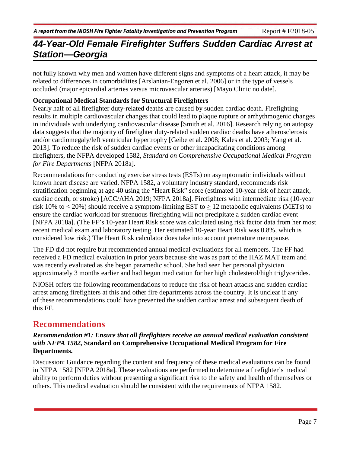not fully known why men and women have different signs and symptoms of a heart attack, it may be related to differences in comorbidities [Arslanian-Engoren et al. 2006] or in the type of vessels occluded (major epicardial arteries versus microvascular arteries) [Mayo Clinic no date].

#### **Occupational Medical Standards for Structural Firefighters**

Nearly half of all firefighter duty-related deaths are caused by sudden cardiac death. Firefighting results in multiple cardiovascular changes that could lead to plaque rupture or arrhythmogenic changes in individuals with underlying cardiovascular disease [Smith et al. 2016]. Research relying on autopsy data suggests that the majority of firefighter duty-related sudden cardiac deaths have atherosclerosis and/or cardiomegaly/left ventricular hypertrophy [Geibe et al. 2008; Kales et al. 2003; Yang et al. 2013]. To reduce the risk of sudden cardiac events or other incapacitating conditions among firefighters, the NFPA developed 1582, *Standard on Comprehensive Occupational Medical Program for Fire Departments* [NFPA 2018a].

Recommendations for conducting exercise stress tests (ESTs) on asymptomatic individuals without known heart disease are varied. NFPA 1582, a voluntary industry standard, recommends risk stratification beginning at age 40 using the "Heart Risk" score (estimated 10-year risk of heart attack, cardiac death, or stroke) [ACC/AHA 2019; NFPA 2018a]. Firefighters with intermediate risk (10-year risk 10% to  $<$  20%) should receive a symptom-limiting EST to  $>$  12 metabolic equivalents (METs) to ensure the cardiac workload for strenuous firefighting will not precipitate a sudden cardiac event [NFPA 2018a]. (The FF's 10-year Heart Risk score was calculated using risk factor data from her most recent medical exam and laboratory testing. Her estimated 10-year Heart Risk was 0.8%, which is considered low risk.) The Heart Risk calculator does take into account premature menopause.

The FD did not require but recommended annual medical evaluations for all members. The FF had received a FD medical evaluation in prior years because she was as part of the HAZ MAT team and was recently evaluated as she began paramedic school. She had seen her personal physician approximately 3 months earlier and had begun medication for her high cholesterol/high triglycerides.

NIOSH offers the following recommendations to reduce the risk of heart attacks and sudden cardiac arrest among firefighters at this and other fire departments across the country. It is unclear if any of these recommendations could have prevented the sudden cardiac arrest and subsequent death of this FF.

### **Recommendations**

#### *Recommendation #1: Ensure that all firefighters receive an annual medical evaluation consistent with NFPA 1582,* **Standard on Comprehensive Occupational Medical Program for Fire Departments.**

Discussion: Guidance regarding the content and frequency of these medical evaluations can be found in NFPA 1582 [NFPA 2018a]. These evaluations are performed to determine a firefighter's medical ability to perform duties without presenting a significant risk to the safety and health of themselves or others. This medical evaluation should be consistent with the requirements of NFPA 1582.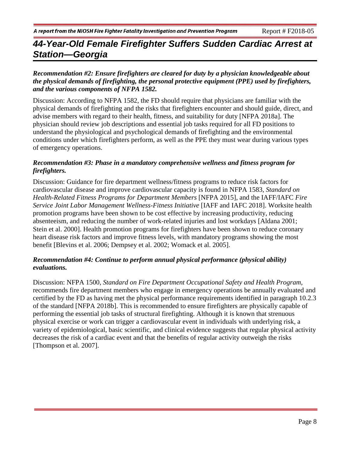#### *Recommendation #2: Ensure firefighters are cleared for duty by a physician knowledgeable about the physical demands of firefighting, the personal protective equipment (PPE) used by firefighters, and the various components of NFPA 1582.*

Discussion: According to NFPA 1582, the FD should require that physicians are familiar with the physical demands of firefighting and the risks that firefighters encounter and should guide, direct, and advise members with regard to their health, fitness, and suitability for duty [NFPA 2018a]. The physician should review job descriptions and essential job tasks required for all FD positions to understand the physiological and psychological demands of firefighting and the environmental conditions under which firefighters perform, as well as the PPE they must wear during various types of emergency operations.

#### *Recommendation #3: Phase in a mandatory comprehensive wellness and fitness program for firefighters.*

Discussion: Guidance for fire department wellness/fitness programs to reduce risk factors for cardiovascular disease and improve cardiovascular capacity is found in NFPA 1583, *Standard on Health-Related Fitness Programs for Department Members* [NFPA 2015], and the IAFF/IAFC *Fire Service Joint Labor Management Wellness-Fitness Initiative* [IAFF and IAFC 2018]. Worksite health promotion programs have been shown to be cost effective by increasing productivity, reducing absenteeism, and reducing the number of work-related injuries and lost workdays [Aldana 2001; Stein et al. 2000]. Health promotion programs for firefighters have been shown to reduce coronary heart disease risk factors and improve fitness levels, with mandatory programs showing the most benefit [Blevins et al. 2006; Dempsey et al. 2002; Womack et al. 2005].

#### *Recommendation #4: Continue to perform annual physical performance (physical ability) evaluations.*

Discussion: NFPA 1500, *Standard on Fire Department Occupational Safety and Health Program,*  recommends fire department members who engage in emergency operations be annually evaluated and certified by the FD as having met the physical performance requirements identified in paragraph 10.2.3 of the standard [NFPA 2018b]. This is recommended to ensure firefighters are physically capable of performing the essential job tasks of structural firefighting. Although it is known that strenuous physical exercise or work can trigger a cardiovascular event in individuals with underlying risk, a variety of epidemiological, basic scientific, and clinical evidence suggests that regular physical activity decreases the risk of a cardiac event and that the benefits of regular activity outweigh the risks [Thompson et al. 2007].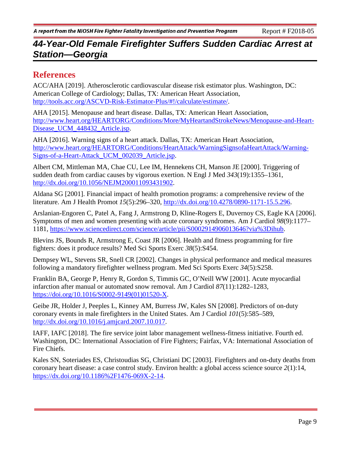## **References**

ACC/AHA [2019]. Atherosclerotic cardiovascular disease risk estimator plus. Washington, DC: American College of Cardiology; Dallas, TX: American Heart Association, [http://tools.acc.org/ASCVD-Risk-Estimator-Plus/#!/calculate/estimate/.](http://tools.acc.org/ASCVD-Risk-Estimator-Plus/#!/calculate/estimate/)

AHA [2015]. Menopause and heart disease. Dallas, TX: American Heart Association, [http://www.heart.org/HEARTORG/Conditions/More/MyHeartandStrokeNews/Menopause-and-Heart-](http://www.heart.org/HEARTORG/Conditions/More/MyHeartandStrokeNews/Menopause-and-Heart-Disease_UCM_448432_Article.jsp)Disease UCM 448432 Article.jsp.

AHA [2016]. Warning signs of a heart attack. Dallas, TX: American Heart Association, [http://www.heart.org/HEARTORG/Conditions/HeartAttack/WarningSignsofaHeartAttack/Warning-](http://www.heart.org/HEARTORG/Conditions/HeartAttack/WarningSignsofaHeartAttack/Warning-Signs-of-a-Heart-Attack_UCM_002039_Article.jsp)Signs-of-a-Heart-Attack UCM 002039 Article.jsp.

Albert CM, Mittleman MA, Chae CU, Lee IM, Hennekens CH, Manson JE [2000]. Triggering of sudden death from cardiac causes by vigorous exertion. N Engl J Med *343*(19):1355–1361, [http://dx.doi.org/10.1056/NEJM200011093431902.](http://dx.doi.org/10.1056/NEJM200011093431902)

Aldana SG [2001]. Financial impact of health promotion programs: a comprehensive review of the literature. Am J Health Promot *15*(5):296–320, [http://dx.doi.org/10.4278/0890-1171-15.5.296.](http://dx.doi.org/10.4278/0890-1171-15.5.296)

[Arslanian-Engoren](https://www.ncbi.nlm.nih.gov/pubmed/?term=Arslanian-Engoren%20C%5BAuthor%5D&cauthor=true&cauthor_uid=17056322) C, [Patel](https://www.ncbi.nlm.nih.gov/pubmed/?term=Patel%20A%5BAuthor%5D&cauthor=true&cauthor_uid=17056322) A, [Fang J,](https://www.ncbi.nlm.nih.gov/pubmed/?term=Fang%20J%5BAuthor%5D&cauthor=true&cauthor_uid=17056322) [Armstrong D,](https://www.ncbi.nlm.nih.gov/pubmed/?term=Armstrong%20D%5BAuthor%5D&cauthor=true&cauthor_uid=17056322) [Kline-Rogers E,](https://www.ncbi.nlm.nih.gov/pubmed/?term=Kline-Rogers%20E%5BAuthor%5D&cauthor=true&cauthor_uid=17056322) [Duvernoy CS,](https://www.ncbi.nlm.nih.gov/pubmed/?term=Duvernoy%20CS%5BAuthor%5D&cauthor=true&cauthor_uid=17056322) [Eagle KA](https://www.ncbi.nlm.nih.gov/pubmed/?term=Eagle%20KA%5BAuthor%5D&cauthor=true&cauthor_uid=17056322) [2006]. Symptoms of men and women presenting with acute coronary syndromes. Am J Cardiol *98*(9):1177– 1181, [https://www.sciencedirect.com/science/article/pii/S0002914906013646?via%3Dihub.](https://www.sciencedirect.com/science/article/pii/S0002914906013646?via%3Dihub)

[Bl](https://www.ncbi.nlm.nih.gov/pubmed/?term=Bardai%20A%5BAuthor%5D&cauthor=true&cauthor_uid=22916156)evins JS, Bounds R, Armstrong E, Coast JR [2006]. Health and fitness programming for fire fighters: does it produce results? Med Sci Sports Exerc *38*(5):S454.

Dempsey WL, Stevens SR, Snell CR [2002]. Changes in physical performance and medical measures following a mandatory firefighter wellness program. Med Sci Sports Exerc *34*(5):S258.

Franklin BA, George P, Henry R, Gordon S, Timmis GC, O'Neill WW [2001]. Acute myocardial infarction after manual or automated snow removal. Am J Cardiol *87*(11):1282–1283, [https://doi.org/10.1016/S0002-9149\(01\)01520-X.](https://doi.org/10.1016/S0002-9149(01)01520-X)

Geibe JR, Holder J, Peeples L, Kinney AM, Burress JW, Kales SN [2008]. Predictors of on-duty coronary events in male firefighters in the United States. Am J Cardiol *101*(5):585–589, [http://dx.doi.org/10.1016/j.amjcard.2007.10.017.](http://dx.doi.org/10.1016/j.amjcard.2007.10.017)

IAFF, IAFC [2018]. The fire service joint labor management wellness-fitness initiative. Fourth ed. Washington, DC: International Association of Fire Fighters; Fairfax, VA: International Association of Fire Chiefs.

Kales SN, Soteriades ES, Christoudias SG, Christiani DC [2003]. Firefighters and on-duty deaths from coronary heart disease: a case control study. Environ health: a global access science source *2*(1):14, [https://dx.doi.org/10.1186%2F1476-069X-2-14.](https://dx.doi.org/10.1186%2F1476-069X-2-14)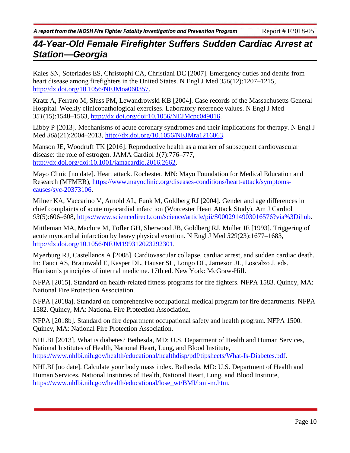Kales SN, Soteriades ES, Christophi CA, Christiani DC [2007]. Emergency duties and deaths from heart disease among firefighters in the United States. N Engl J Med *356*(12):1207–1215, [http://dx.doi.org/10.1056/NEJMoa060357.](http://dx.doi.org/10.1056/NEJMoa060357)

Kratz A, Ferraro M, Sluss PM, Lewandrowski KB [2004]. Case records of the Massachusetts General Hospital. Weekly clinicopathological exercises. Laboratory reference values. N Engl J Med *351*(15):1548–1563, [http://dx.doi.org/doi:10.1056/NEJMcpc049016.](https://doi.org/10.1056/NEJMcpc049016)

Libby P [2013]. Mechanisms of acute coronary syndromes and their implications for therapy. N Engl J Med *368*(21):2004–2013, [http://dx.doi.org/10.1056/NEJMra1216063.](http://dx.doi.org/10.1056/NEJMra1216063)

Manson JE, Woodruff TK [2016]. Reproductive health as a marker of subsequent cardiovascular disease: the role of estrogen. JAMA Cardiol *1*(7):776–777, [http://dx.doi.org/doi:10.1001/jamacardio.2016.2662.](http://dx.doi.org/doi:10.1001/jamacardio.2016.2662)

Mayo Clinic [no date]. Heart attack. Rochester, MN: Mayo Foundation for Medical Education and Research (MFMER), [https://www.mayoclinic.org/diseases-conditions/heart-attack/symptoms](https://www.mayoclinic.org/diseases-conditions/heart-attack/symptoms-causes/syc-20373106)[causes/syc-20373106.](https://www.mayoclinic.org/diseases-conditions/heart-attack/symptoms-causes/syc-20373106)

[Milner KA,](https://www.ncbi.nlm.nih.gov/pubmed/?term=Milner%20KA%5BAuthor%5D&cauthor=true&cauthor_uid=14996588) [Vaccarino V,](https://www.ncbi.nlm.nih.gov/pubmed/?term=Vaccarino%20V%5BAuthor%5D&cauthor=true&cauthor_uid=14996588) [Arnold AL,](https://www.ncbi.nlm.nih.gov/pubmed/?term=Arnold%20AL%5BAuthor%5D&cauthor=true&cauthor_uid=14996588) [Funk M,](https://www.ncbi.nlm.nih.gov/pubmed/?term=Funk%20M%5BAuthor%5D&cauthor=true&cauthor_uid=14996588) [Goldberg RJ](https://www.ncbi.nlm.nih.gov/pubmed/?term=Goldberg%20RJ%5BAuthor%5D&cauthor=true&cauthor_uid=14996588) [2004]. Gender and age differences in chief complaints of acute myocardial infarction (Worcester Heart Attack Study). [Am J Cardiol](https://www.ncbi.nlm.nih.gov/pubmed/?term=milner+AND+gender+and+age+differences+in+chief+complants)  *93*(5):606–608, [https://www.sciencedirect.com/science/article/pii/S0002914903016576?via%3Dihub.](https://www.sciencedirect.com/science/article/pii/S0002914903016576?via%3Dihub)

Mittleman MA, Maclure M, Tofler GH, Sherwood JB, Goldberg RJ, Muller JE [1993]. Triggering of acute myocardial infarction by heavy physical exertion. N Engl J Med *329*(23):1677–1683, [http://dx.doi.org/10.1056/NEJM199312023292301.](http://dx.doi.org/10.1056/NEJM199312023292301)

Myerburg RJ, Castellanos A [2008]. Cardiovascular collapse, cardiac arrest, and sudden cardiac death. In: Fauci AS, Braunwald E, Kasper DL, Hauser SL, Longo DL, Jameson JL, Loscalzo J, eds. Harrison's principles of internal medicine. 17th ed. New York: McGraw-Hill.

NFPA [2015]. Standard on health-related fitness programs for fire fighters. NFPA 1583. Quincy, MA: National Fire Protection Association.

NFPA [2018a]. Standard on comprehensive occupational medical program for fire departments. NFPA 1582. Quincy, MA: National Fire Protection Association.

NFPA [2018b]. Standard on fire department occupational safety and health program. NFPA 1500. Quincy, MA: National Fire Protection Association.

NHLBI [2013]. What is diabetes? Bethesda, MD: U.S. Department of Health and Human Services, National Institutes of Health, National Heart, Lung, and Blood Institute, [https://www.nhlbi.nih.gov/health/educational/healthdisp/pdf/tipsheets/What-Is-Diabetes.pdf.](https://www.nhlbi.nih.gov/health/educational/healthdisp/pdf/tipsheets/What-Is-Diabetes.pdf)

NHLBI [no date]. Calculate your body mass index. Bethesda, MD: U.S. Department of Health and Human Services, National Institutes of Health, National Heart, Lung, and Blood Institute, [https://www.nhlbi.nih.gov/health/educational/lose\\_wt/BMI/bmi-m.htm.](https://www.nhlbi.nih.gov/health/educational/lose_wt/BMI/bmi-m.htm)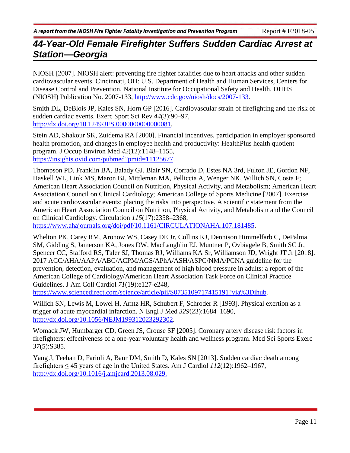NIOSH [2007]. NIOSH alert: preventing fire fighter fatalities due to heart attacks and other sudden cardiovascular events. Cincinnati, OH: U.S. Department of Health and Human Services, Centers for Disease Control and Prevention, National Institute for Occupational Safety and Health, DHHS (NIOSH) Publication No. 2007-133, [http://www.cdc.gov/niosh/docs/2007-133.](http://www.cdc.gov/niosh/docs/2007-133)

Smith DL, DeBlois JP, Kales SN, Horn GP [2016]. Cardiovascular strain of firefighting and the risk of sudden cardiac events. Exerc Sport Sci Rev *44*(3):90–97, [http://dx.doi.org/10.1249/JES.0000000000000081.](http://dx.doi.org/10.1249/JES.0000000000000081)

Stein AD, Shakour SK, Zuidema RA [2000]. Financial incentives, participation in employer sponsored health promotion, and changes in employee health and productivity: HealthPlus health quotient program. J Occup Environ Med *42*(12):1148–1155, [https://insights.ovid.com/pubmed?pmid=11125677.](https://insights.ovid.com/pubmed?pmid=11125677)

Thompson PD, Franklin BA, Balady GJ, Blair SN, Corrado D, Estes NA 3rd, Fulton JE, Gordon NF, Haskell WL, Link MS, Maron BJ, Mittleman MA, Pelliccia A, Wenger NK, Willich SN, Costa F; American Heart Association Council on Nutrition, Physical Activity, and Metabolism; American Heart Association Council on Clinical Cardiology; American College of Sports Medicine [2007]. Exercise and acute cardiovascular events: placing the risks into perspective. A scientific statement from the American Heart Association Council on Nutrition, Physical Activity, and Metabolism and the Council on Clinical Cardiology. Circulation *115*(17):2358–2368,

[https://www.ahajournals.org/doi/pdf/10.1161/CIRCULATIONAHA.107.181485.](https://www.ahajournals.org/doi/pdf/10.1161/CIRCULATIONAHA.107.181485)

Whelton PK, Carey RM, Aronow WS, Casey DE Jr, Collins KJ, Dennison Himmelfarb C, DePalma SM, Gidding S, Jamerson KA, Jones DW, MacLaughlin EJ, Muntner P, Ovbiagele B, Smith SC Jr, Spencer CC, Stafford RS, Taler SJ, Thomas RJ, Williams KA Sr, Williamson JD, Wright JT Jr [2018]. 2017 ACC/AHA/AAPA/ABC/ACPM/AGS/APhA/ASH/ASPC/NMA/PCNA guideline for the prevention, detection, evaluation, and management of high blood pressure in adults: a report of the American College of Cardiology/American Heart Association Task Force on Clinical Practice Guidelines. J Am Coll Cardiol *71*(19):e127-e248,

[https://www.sciencedirect.com/science/article/pii/S0735109717415191?via%3Dihub.](https://www.sciencedirect.com/science/article/pii/S0735109717415191?via%3Dihub)

Willich SN, Lewis M, Lowel H, Arntz HR, Schubert F, Schroder R [1993]. Physical exertion as a trigger of acute myocardial infarction. N Engl J Med *329*(23):1684–1690, [http://dx.doi.org/10.1056/NEJM199312023292302.](http://dx.doi.org/10.1056/NEJM199312023292302)

Womack JW, Humbarger CD, Green JS, Crouse SF [2005]. Coronary artery disease risk factors in firefighters: effectiveness of a one-year voluntary health and wellness program. Med Sci Sports Exerc *37*(5):S385.

Yang J, Teehan D, Farioli A, Baur DM, Smith D, Kales SN [2013]. Sudden cardiac death among firefighters  $\leq 45$  years of age in the United States. Am J Cardiol  $112(12):1962-1967$ , [http://dx.doi.org/10.1016/j.amjcard.2013.08.029.](http://dx.doi.org/10.1016/j.amjcard.2013.08.029)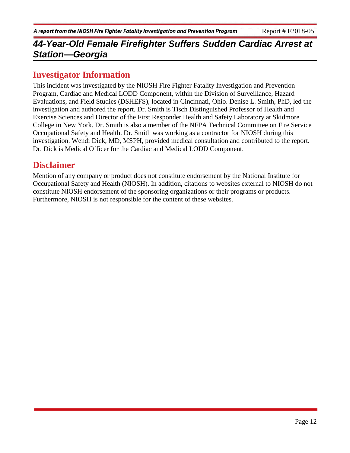### **Investigator Information**

This incident was investigated by the NIOSH Fire Fighter Fatality Investigation and Prevention Program, Cardiac and Medical LODD Component, within the Division of Surveillance, Hazard Evaluations, and Field Studies (DSHEFS), located in Cincinnati, Ohio. Denise L. Smith, PhD, led the investigation and authored the report. Dr. Smith is Tisch Distinguished Professor of Health and Exercise Sciences and Director of the First Responder Health and Safety Laboratory at Skidmore College in New York. Dr. Smith is also a member of the NFPA Technical Committee on Fire Service Occupational Safety and Health. Dr. Smith was working as a contractor for NIOSH during this investigation. Wendi Dick, MD, MSPH, provided medical consultation and contributed to the report. Dr. Dick is Medical Officer for the Cardiac and Medical LODD Component.

### **Disclaimer**

Mention of any company or product does not constitute endorsement by the National Institute for Occupational Safety and Health (NIOSH). In addition, citations to websites external to NIOSH do not constitute NIOSH endorsement of the sponsoring organizations or their programs or products. Furthermore, NIOSH is not responsible for the content of these websites.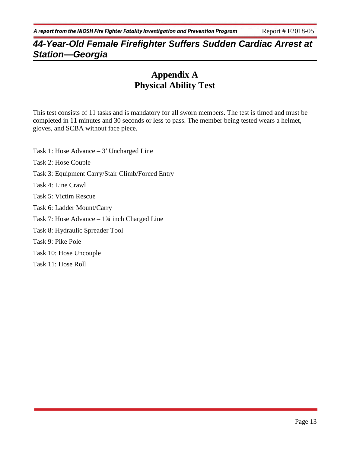## **Appendix A Physical Ability Test**

This test consists of 11 tasks and is mandatory for all sworn members. The test is timed and must be completed in 11 minutes and 30 seconds or less to pass. The member being tested wears a helmet, gloves, and SCBA without face piece.

Task 1: Hose Advance – 3′ Uncharged Line Task 2: Hose Couple Task 3: Equipment Carry/Stair Climb/Forced Entry Task 4: Line Crawl Task 5: Victim Rescue Task 6: Ladder Mount/Carry Task 7: Hose Advance – 1¾ inch Charged Line Task 8: Hydraulic Spreader Tool Task 9: Pike Pole Task 10: Hose Uncouple Task 11: Hose Roll